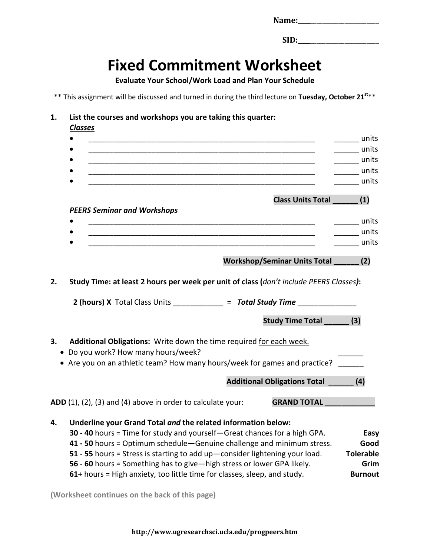| Name: |  |  |  |  |
|-------|--|--|--|--|
|       |  |  |  |  |

**SID:** 

## **Fixed Commitment Worksheet**

**Evaluate Your School/Work Load and Plan Your Schedule**

\*\* This assignment will be discussed and turned in during the third lecture on **Tuesday, October 21st**\*\*

## **1. List the courses and workshops you are taking this quarter:**

*Classes*

|    |                                                                                                                                            | units            |
|----|--------------------------------------------------------------------------------------------------------------------------------------------|------------------|
|    |                                                                                                                                            | _____ units      |
|    |                                                                                                                                            | _______ units    |
|    |                                                                                                                                            | units            |
|    |                                                                                                                                            | <b>Example 1</b> |
|    | <b>Class Units Total</b>                                                                                                                   | (1)              |
|    | <b>PEERS Seminar and Workshops</b>                                                                                                         |                  |
|    |                                                                                                                                            | <u>units</u>     |
|    |                                                                                                                                            | <b>Example 1</b> |
|    |                                                                                                                                            | units            |
|    | <b>Workshop/Seminar Units Total</b>                                                                                                        | (2)              |
| 2. | Study Time: at least 2 hours per week per unit of class (don't include PEERS Classes):                                                     |                  |
|    | 2 (hours) X Total Class Units ____________ = Total Study Time ___________                                                                  |                  |
|    | <b>Study Time Total</b>                                                                                                                    | (3)              |
| 3. | Additional Obligations: Write down the time required for each week.<br>• Do you work? How many hours/week?                                 |                  |
|    | • Are you on an athletic team? How many hours/week for games and practice?                                                                 |                  |
|    | <b>Additional Obligations Total</b>                                                                                                        | (4)              |
|    | ADD (1), (2), (3) and (4) above in order to calculate your:<br><b>GRAND TOTAL</b>                                                          |                  |
| 4. | Underline your Grand Total and the related information below:<br>30 - 40 hours = Time for study and yourself-Great chances for a high GPA. | Easy             |
|    | 41 - 50 hours = Optimum schedule - Genuine challenge and minimum stress.                                                                   | Good             |
|    | 51 - 55 hours = Stress is starting to add up-consider lightening your load.                                                                | <b>Tolerable</b> |
|    | 56 - 60 hours = Something has to give-high stress or lower GPA likely.                                                                     | Grim             |
|    |                                                                                                                                            |                  |

**61+** hours = High anxiety, too little time for classes, sleep, and study. **Burnout** 

**(Worksheet continues on the back of this page)**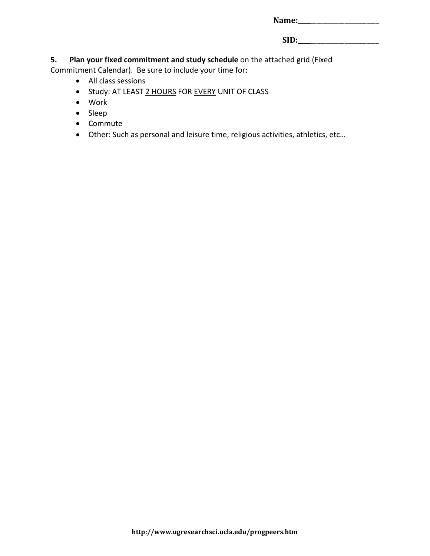| Name: |  |
|-------|--|
|       |  |

**SID:\_\_\_\_**\_\_\_\_\_\_\_\_\_\_\_\_\_\_\_\_\_\_\_\_\_\_

**5. Plan your fixed commitment and study schedule** on the attached grid (Fixed

Commitment Calendar). Be sure to include your time for:

- All class sessions
- Study: AT LEAST 2 HOURS FOR EVERY UNIT OF CLASS
- Work
- Sleep
- Commute
- Other: Such as personal and leisure time, religious activities, athletics, etc…